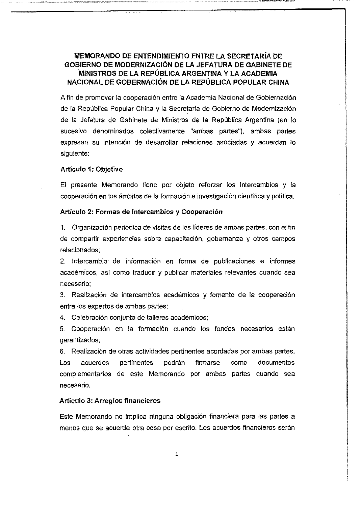### MEMORANDO DE ENTENDIMIENTO ENTRE LA SECRETARíA DE GOBIERNO DE MODERNIZACiÓN DE LA JEFATURA DE GABINETE DE 'MINISTROS DE LA REPÚBLICA ARGENTINA Y LA ACADEMIA NACIONAL DE GOBERNACiÓN DE LA REPÚBLICA POPULAR CHINA

A fin de promover la cooperación entre la Academia Nacional de Gobiernación de la República Popular China y la Secretaría de Gobierno de Modernización de la Jefatura de Gabinete de Ministros de la República Argentina (en lo sucesivo denominados colectivamente "ambas partes"), ambas partes expresan su intención de desarrollar relaciones asociadas y acuerdan lo siguiente:

#### Artículo 1: Objetivo

El presente Memorando tiene por objeto reforzar los intercambios y la cooperación en los ámbitos de la formación e investigación científica y polltica.

#### Artículo 2: Formas de Intercambios y Cooperación

1. Organización periódica de visitas de los lideres de ambas partes, con el fin de compartir experiencias sobre capacitación, gobernanza y otros campos relacionados;

2. Intercambio' de información en forma de publicaciones e informes académicos, así como traducir y publicar materiales relevantes cuando sea necesario;

3. Realización de intercambios académicos y fomento de la cooperación entre los expertos de ambas partes;

4. Celebración conjunta de talleres académicos;

5. Cooperación en la formación cuando los fondos necesarios están garantizados;

6. Realización de otras actividades pertinentes acordadas por ambas partes. Los acuerdos pertinentes podrán firmarse como documentos complementarios de este Memorando por ambas partes cuando sea necesario.

#### Artículo 3: Arreglos financieros

Este Memorando no implica ninguna obligación financiera para las partes a menos que se acuerde otra cosa por escrito. Los acuerdos financieros serán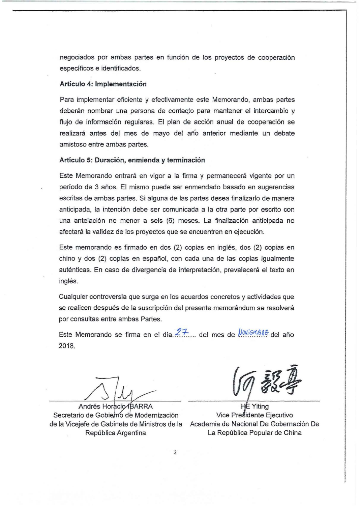negociados por ambas partes en función de los proyectos de cooperación específicos e identificados.

#### Artículo 4: Implementación

Para implementar eficiente y efectivamente este Memorando, ambas partes deberán nombrar una persona de contacto para mantener el intercambio y flujo de información regulares. El plan de acción anual de cooperación se realizará antes del mes de mayo del año anterior mediante un debate amistoso entre ambas partes.

#### Artículo 5: Duración, enmienda y terminación

Este Memorando entrará en vigor a la firma y permanecerá vigente por un periodo de 3 años. El mismo puede ser enmendado basado en sugerencias escritas de ambas partes. Si alguna de las partes desea finalizarlo de manera anticipada, la intención debe ser comunicada a la otra parte por escrito con una antelación no menor a seis (6) meses. La finalización anticipada no afectará la validez de los proyectos que se encuentren en ejecución.

Este memorando es firmado en dos (2) copias en inglés, dos (2) copias en chino y dos (2) copias en español, con cada una de las copias igualmente auténticas. En caso de divergencia de interpretación, prevalecerá el texto en inglés.

Cualquier controversia que surga en los acuerdos concretos y actividades que se realicen después de la suscripción del presente memorándum se resolverá por consultas entre ambas Partes.

Este Memorando se firma en el día. $27...$  del mes de  $\sqrt{V_0V_1^2+V_2^2+V_3^2}$  del año 2018.

 $\overline{\wedge}$ 

Andrés Horacio BARRA Secretario de Gobierno de Modernización de la Vicejefe de Gabinete de Ministros de la Academia de Nacional De Gobernación De República Argentina

 $\frac{1}{\frac{1}{26}}$  Vice Presidente Ejecutivo La República Popular de China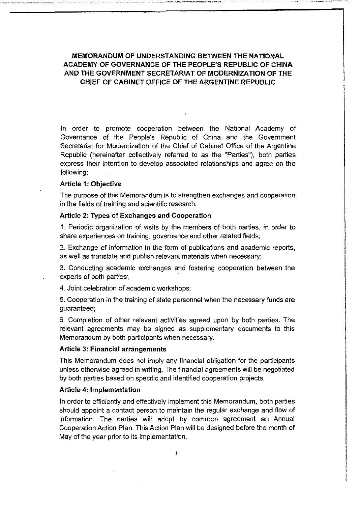MEMORANDUM OF UNDERSTANDING BETWEEN THE NATIONAL ACADEMY OF GOVERNANCE OF THE PEOPLE'S REPUBLlC OF CHINA ANO THE GOVERNMENT SECRETARIAT OF MODERNIZATlON OF THE CHIEF OF CABINET OFFICE OF THE ARGENTINE REPUBLIC

In order to promote cooperation between the National Academy of Governance of the People's Republic of China and the Government Secretariat for Modernization of the Chief of Cabinet Office of the Argentine Republíc (hereinafter collectively referred to as the "Parties"), both parties express their intention to develop associated relationships and agree on the following:

#### Article 1: Objective

The purpose of this Memorandum is to strengthen exchanges and cooperation in the fields of training and scientific research.

#### Article 2: Types of Exchanges and Cooperation

1. Periodic organization of visits by the members of both parties, in order to share experiences on training, governance and other related fields;

2. Exchange of information in the form of publícations and acadernic reports, as well as translate and publish relevant materials when necessary;

3. Conducting academic exchanges and fostering cooperation between the experts of both parties;

4. Joint celebration of academic workshops;

5. Cooperation in the training of state personnel when the necessary funds are guaranteed;

6. Cornpletion of other relevant activities agreed upon by both parties. The relevant agreements may be signed as supplementary documents to this Memorandum by both participants when necessary.

#### Article 3: Financial arrangements

This Memorandum does not imply any financial oblígation for the participants unless otherwise agreed in writing. The financial agreements will be negotiated by both parties based on specific and identified cooperation projects.

#### Article 4: Implementation

In order to efficiently and effectively implement this Memorandum, both parties should appoint a contact person to maintain the regular exchange and flow of information. The parties wíll adopt by common agreement an Annual Cooperation Action Plan. This Action Plan wíll be designed before the month of May of the year prior to its implementation.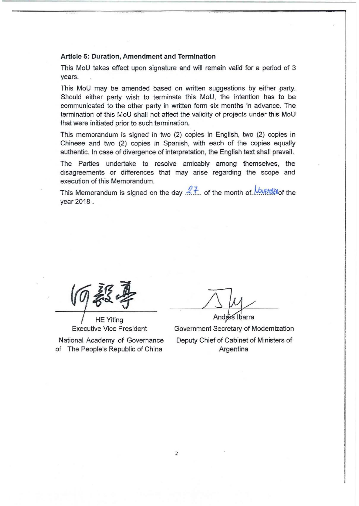#### Article 5: Duration, Amendment and Termination

This MoU takes effect upon signature and will remain valid for a period of 3 years.

This MoU may be amended based on written suggestíons by either party. Should either party wish to terminate this MoU, the intention has to be communicated to the other party in written form six months in advance. The termination of this MoU shall not affect the validity of projects under this MoU that were initiated prior to such termination.

This memorandum is signed in two (2) copies in English, two (2) copies in Chinese and two (2) copies in Spanish, with each of the copies equally authentic. In case of divergence of interpretation, the English text shall prevail.

The Parties undertake to resolve amicably among themselves, the disagreements or differences that may arise regarding the scope and execution of this Memorandum.

This Memorandum is signed on the day  $27$  of the month of *bort the* the year 2018.

**HE Yiting** Executive Vice President

National Academy of Governance of The People's Republic of China

 $\mathcal{A}$  -a-maximum and  $\mathcal{A}$ Andrés Ibarra

Government Secretary of Modernization Deputy Chief of Cabinet of Ministers of Argentina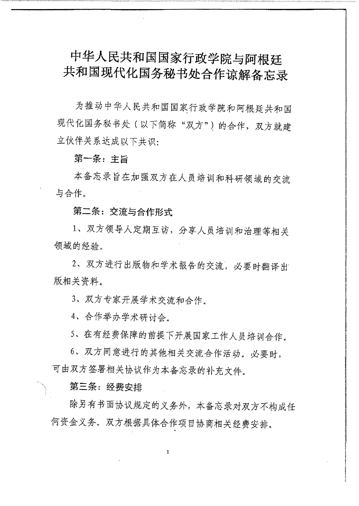# 中华人民共和国国家行政学院与阿根廷 共和国现代化国务秘书处合作谅解备忘录

为推动中华人民共和国国家行政学院和阿根廷共和国 现代化国务秘书处(以下简称"双方")的合作, 双方就建 立伙伴关系达成以下共识:

# 第一条: 主旨

本备忘录旨在加强双方在人员培训和科研领域的交流 与合作。

# 第二条: 交流与合作形式

1、双方领导人定期互访, 分享人员培训和治理等相关 领域的经验。

2. 双方进行出版物和学术报告的交流, 必要时翻译出 版相关资料。

3、双方专家开展学术交流和合作。

4、合作举办学术研讨会。

5、在有经费保障的前提下开展国家工作人员培训合作。

6. 双方同意进行的其他相关交流合作活动。必要时, 可由双方签署相关协议作为本备忘录的补充文件。

第三条: 经费安排

除另有书面协议规定的义务外,本备忘录对双方不构成任 何资金义务。双方根据具体合作项目协商相关经费安排。

1